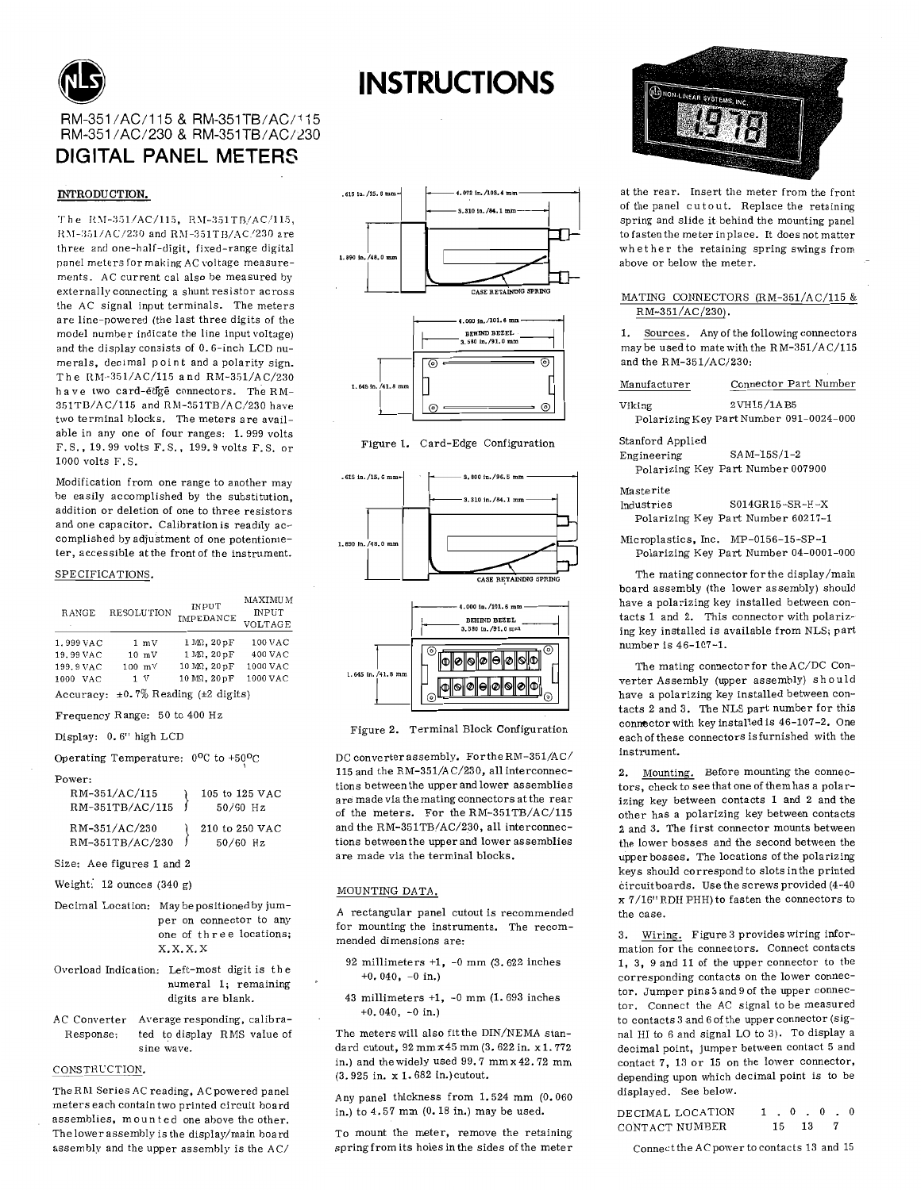

# RM-351/AC/115 & RM-351TB/AC/115 RM-351/AC/230 & RM-351TB/AC/230 DIGITAL PANEL METERS

## INTRODUCTION.

The RM-351/AC/115, RM-351TB/AC/115, RM-351/AC/230 and RM-351TB/AC/230 are three and one-half-digit, fixed-range digital panel meters for making AC voltage measurements. AC current cal also be measured by externally connecting a shunt resistor across the AC signal input terminals. The meters are line-nowered (the last three digits of the model number indicate the line input voltage) and the display consists of 0.6-inch LCD numerals, decimal point and a polarity sign. The RM-351/AC/115 and RM-351/AC/230 have two card-edge connectors. The RM-351TB/AC/115 and RM-351TB/AC/230 have two terminal blocks. The meters are available in any one of four ranges: 1.999 volts F.S., 19.99 volts F.S., 199.9 volts F.S. or 1000 volts  $F-S$ 

Modification from one range to another may be easily accomplished by the substitution. addition or deletion of one to three resistors and one capacitor. Calibration is readily accomplished by adjustment of one potentiometer, accessible at the front of the instrument.

### SPECIFICATIONS.

| RANGE                                        | <b>RESOLUTION</b>                 | <b>INPUT</b><br><b>IMPEDANCE</b>           | <b>MAXIMUM</b><br><b>INPUT</b><br>VOLTAGE |
|----------------------------------------------|-----------------------------------|--------------------------------------------|-------------------------------------------|
| 1.999 VAC                                    | $1 \text{ mV}$<br>$10 \text{ mV}$ | 1 MQ. 20pF                                 | $100$ VAC<br>400 VAC                      |
| 19.99 VAC<br>199.9 VAC<br><b>VAC</b><br>1000 | $100$ mV<br>1 V                   | 1 MR, 20 pF<br>10 MR, 20 pF<br>10 MQ. 20pF | 1000 VAC<br>1000 VAC                      |

Accuracy:  $\pm 0.7\%$  Reading ( $\pm 2$  digits) Frequency Range: 50 to 400 Hz

```
Display: 0.6" high LCD
```
Operating Temperature: 0°C to +50°C

Power:

| RM-351/AC/115<br>RM-351TB/AC/115 | 105 to 125 VAC<br>$50/60$ Hz |
|----------------------------------|------------------------------|
| RM-351/AC/230<br>RM-351TB/AC/230 | 210 to 250 VAC<br>$50/60$ Hz |

Size: Aee figures 1 and 2

- Weight: 12 ounces (340 g)
- Decimal Location: May be positioned by jumper on connector to any one of three locations;  $X, X, X, X$
- Overload Indication: Left-most digit is the numeral 1; remaining digits are blank.
- AC Converter Average responding, calibra-Response: ted to display RMS value of sine wave.

#### CONSTRUCTION.

The RM Series AC reading, AC powered panel meters each contain two printed circuit board assemblies, mounted one above the other. The lower assembly is the display/main board assembly and the upper assembly is the AC/



**INSTRUCTIONS** 





Figure 2. Terminal Block Configuration

DC converter assembly. For the RM-351/AC/ 115 and the RM-351/AC/230, all interconnections between the upper and lower assemblies are made via the mating connectors at the rear of the meters. For the RM-351TB/AC/115 and the RM-351TB/AC/230, all interconnections between the upper and lower assemblies are made via the terminal blocks.

### MOUNTING DATA

A rectangular panel cutout is recommended for mounting the instruments. The recommended dimensions are:

- 92 millimeters  $+1$ ,  $-0$  mm (3.622 inches  $+0.040, -0 in.)$
- 43 millimeters  $+1$ ,  $-0$  mm  $(1.693$  inches  $+0.040, -0$  in.)

The meters will also fit the DIN/NEMA standard cutout, 92 mm x 45 mm (3.622 in. x 1.772 in.) and the widely used 99.7 mm x 42.72 mm (3.925 in. x 1.682 in.) cutout.

Any panel thickness from 1.524 mm (0.060 in.) to 4.57 mm (0.18 in.) may be used.

To mount the meter, remove the retaining spring from its holes in the sides of the meter



at the rear. Insert the meter from the front of the panel cutout. Replace the retaining spring and slide it behind the mounting panel to fasten the meter in place. It does not matter whether the retaining spring swings from above or below the meter.

### MATING CONNECTORS (RM-351/AC/115 & RM-351/AC/230).

Sources. Any of the following connectors  $\mathbf{1}$ may be used to mate with the RM-351/AC/115 and the RM-351/AC/230:

| Manufacturer     | Connector Part Number                   |
|------------------|-----------------------------------------|
| Viking           | 2VH15/1AB5                              |
|                  | Polarizing Key Part Number 091-0024-000 |
| Stanford Applied |                                         |
| Engineering      | $SAM-15S/1-2$                           |

| ingineering                       |  | SAM-155/1-2 |  |
|-----------------------------------|--|-------------|--|
| Polarizing Key Part Number 007900 |  |             |  |

| Masterite  |                                    |
|------------|------------------------------------|
| Industries | $SO14$ GR15-SR-H-X                 |
|            | Polarizing Key Part Number 60217-1 |

Microplastics, Inc. MP-0156-15-SP-1 Polarizing Key Part Number 04-0001-000

The mating connector for the display/main board assembly (the lower assembly) should have a polarizing key installed between contacts 1 and 2. This connector with polarizing key installed is available from NLS; part number is 46-107-1.

The mating connector for the AC/DC Converter Assembly (upper assembly) should have a polarizing key installed between contacts 2 and 3. The NLS part number for this connector with key installed is 46-107-2. One each of these connectors is furnished with the instrument.

Mounting. Before mounting the connec- $2.$ tors, check to see that one of them has a polarizing key between contacts 1 and 2 and the other has a polarizing key between contacts 2 and 3. The first connector mounts between the lower bosses and the second between the upper bosses. The locations of the polarizing keys should correspond to slots in the printed circuit boards. Use the screws provided (4-40 x 7/16" RDH PHH) to fasten the connectors to the case.

3. Wiring. Figure 3 provides wiring information for the connectors. Connect contacts 1, 3, 9 and 11 of the upper connector to the corresponding contacts on the lower connector. Jumper pins 3 and 9 of the upper connector. Connect the AC signal to be measured to contacts 3 and 6 of the upper connector (signal HI to 6 and signal LO to 3). To display a decimal point, jumper between contact 5 and contact 7, 13 or 15 on the lower connector, depending upon which decimal point is to be displayed. See below.

DECIMAL LOCATION  $1 \t0 \t0 \t0 \t0$ CONTACT NUMBER 15 13  $\overline{7}$